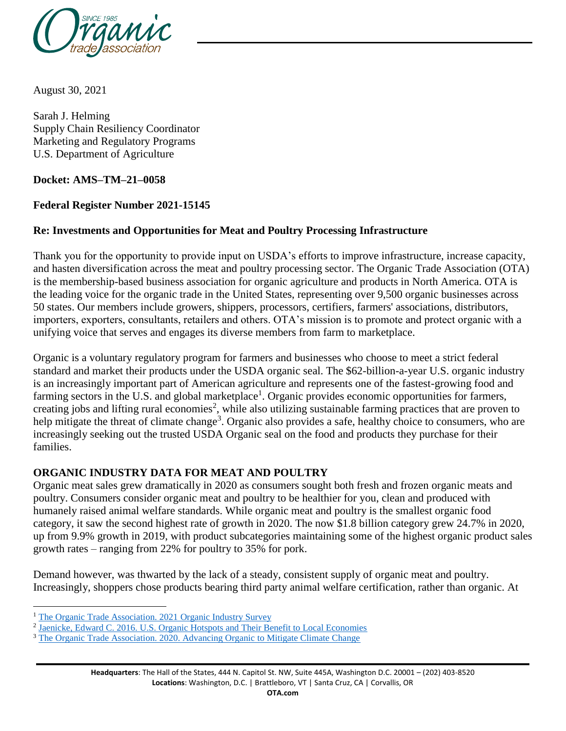

August 30, 2021

Sarah J. Helming Supply Chain Resiliency Coordinator Marketing and Regulatory Programs U.S. Department of Agriculture

## **Docket: AMS–TM–21–0058**

## **Federal Register Number 2021-15145**

# **Re: Investments and Opportunities for Meat and Poultry Processing Infrastructure**

Thank you for the opportunity to provide input on USDA's efforts to improve infrastructure, increase capacity, and hasten diversification across the meat and poultry processing sector. The Organic Trade Association (OTA) is the membership-based business association for organic agriculture and products in North America. OTA is the leading voice for the organic trade in the United States, representing over 9,500 organic businesses across 50 states. Our members include growers, shippers, processors, certifiers, farmers' associations, distributors, importers, exporters, consultants, retailers and others. OTA's mission is to promote and protect organic with a unifying voice that serves and engages its diverse members from farm to marketplace.

Organic is a voluntary regulatory program for farmers and businesses who choose to meet a strict federal standard and market their products under the USDA organic seal. The \$62-billion-a-year U.S. organic industry is an increasingly important part of American agriculture and represents one of the fastest-growing food and farming sectors in the U.S. and global marketplace<sup>1</sup>. Organic provides economic opportunities for farmers, creating jobs and lifting rural economies<sup>2</sup>, while also utilizing sustainable farming practices that are proven to help mitigate the threat of climate change<sup>3</sup>. Organic also provides a safe, healthy choice to consumers, who are increasingly seeking out the trusted USDA Organic seal on the food and products they purchase for their families.

#### **ORGANIC INDUSTRY DATA FOR MEAT AND POULTRY**

Organic meat sales grew dramatically in 2020 as consumers sought both fresh and frozen organic meats and poultry. Consumers consider organic meat and poultry to be healthier for you, clean and produced with humanely raised animal welfare standards. While organic meat and poultry is the smallest organic food category, it saw the second highest rate of growth in 2020. The now \$1.8 billion category grew 24.7% in 2020, up from 9.9% growth in 2019, with product subcategories maintaining some of the highest organic product sales growth rates – ranging from 22% for poultry to 35% for pork.

Demand however, was thwarted by the lack of a steady, consistent supply of organic meat and poultry. Increasingly, shoppers chose products bearing third party animal welfare certification, rather than organic. At

l

<sup>&</sup>lt;sup>1</sup> The Organic Trade Association. 2021 Organic Industry Survey

<sup>&</sup>lt;sup>2</sup> Jaenicke, Edward C. 2016. U.S. Organic Hotspots and Their Benefit to Local Economies

<sup>&</sup>lt;sup>3</sup> [The Organic Trade Association. 2020. Advancing Organic to Mitigate Climate Change](https://ota.com/sites/default/files/indexed_files/OTA%20Climate-Smart%20Ag%20comments_FINAL.pdf)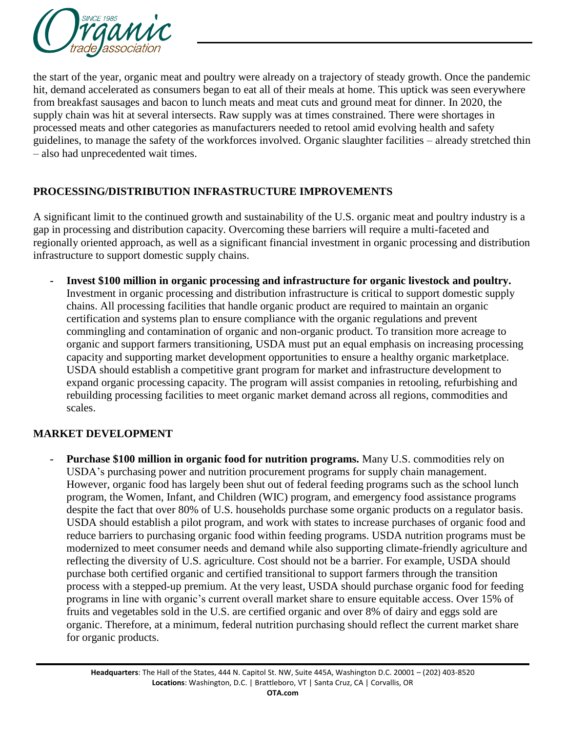

the start of the year, organic meat and poultry were already on a trajectory of steady growth. Once the pandemic hit, demand accelerated as consumers began to eat all of their meals at home. This uptick was seen everywhere from breakfast sausages and bacon to lunch meats and meat cuts and ground meat for dinner. In 2020, the supply chain was hit at several intersects. Raw supply was at times constrained. There were shortages in processed meats and other categories as manufacturers needed to retool amid evolving health and safety guidelines, to manage the safety of the workforces involved. Organic slaughter facilities – already stretched thin – also had unprecedented wait times.

# **PROCESSING/DISTRIBUTION INFRASTRUCTURE IMPROVEMENTS**

A significant limit to the continued growth and sustainability of the U.S. organic meat and poultry industry is a gap in processing and distribution capacity. Overcoming these barriers will require a multi-faceted and regionally oriented approach, as well as a significant financial investment in organic processing and distribution infrastructure to support domestic supply chains.

**- Invest \$100 million in organic processing and infrastructure for organic livestock and poultry.**  Investment in organic processing and distribution infrastructure is critical to support domestic supply chains. All processing facilities that handle organic product are required to maintain an organic certification and systems plan to ensure compliance with the organic regulations and prevent commingling and contamination of organic and non-organic product. To transition more acreage to organic and support farmers transitioning, USDA must put an equal emphasis on increasing processing capacity and supporting market development opportunities to ensure a healthy organic marketplace. USDA should establish a competitive grant program for market and infrastructure development to expand organic processing capacity. The program will assist companies in retooling, refurbishing and rebuilding processing facilities to meet organic market demand across all regions, commodities and scales.

#### **MARKET DEVELOPMENT**

**- Purchase \$100 million in organic food for nutrition programs.** Many U.S. commodities rely on USDA's purchasing power and nutrition procurement programs for supply chain management. However, organic food has largely been shut out of federal feeding programs such as the school lunch program, the Women, Infant, and Children (WIC) program, and emergency food assistance programs despite the fact that over 80% of U.S. households purchase some organic products on a regulator basis. USDA should establish a pilot program, and work with states to increase purchases of organic food and reduce barriers to purchasing organic food within feeding programs. USDA nutrition programs must be modernized to meet consumer needs and demand while also supporting climate-friendly agriculture and reflecting the diversity of U.S. agriculture. Cost should not be a barrier. For example, USDA should purchase both certified organic and certified transitional to support farmers through the transition process with a stepped-up premium. At the very least, USDA should purchase organic food for feeding programs in line with organic's current overall market share to ensure equitable access. Over 15% of fruits and vegetables sold in the U.S. are certified organic and over 8% of dairy and eggs sold are organic. Therefore, at a minimum, federal nutrition purchasing should reflect the current market share for organic products.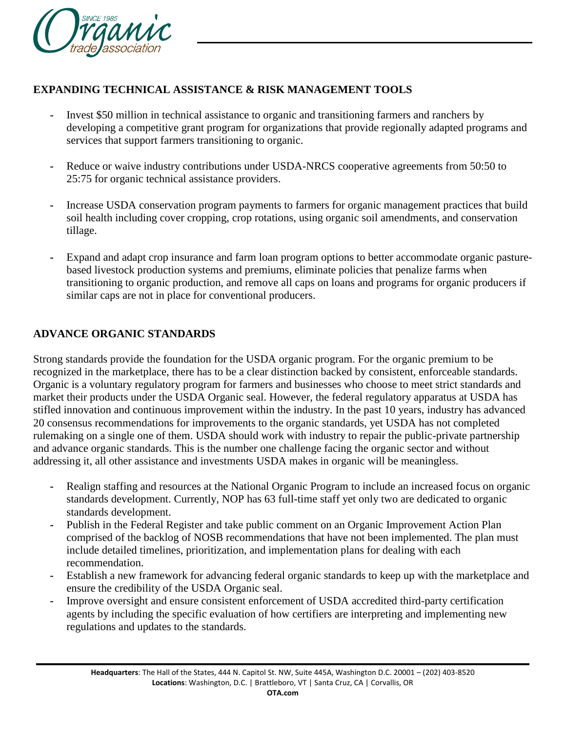

## **EXPANDING TECHNICAL ASSISTANCE & RISK MANAGEMENT TOOLS**

- **-** Invest \$50 million in technical assistance to organic and transitioning farmers and ranchers by developing a competitive grant program for organizations that provide regionally adapted programs and services that support farmers transitioning to organic.
- **-** Reduce or waive industry contributions under USDA-NRCS cooperative agreements from 50:50 to 25:75 for organic technical assistance providers.
- **-** Increase USDA conservation program payments to farmers for organic management practices that build soil health including cover cropping, crop rotations, using organic soil amendments, and conservation tillage.
- **-** Expand and adapt crop insurance and farm loan program options to better accommodate organic pasturebased livestock production systems and premiums, eliminate policies that penalize farms when transitioning to organic production, and remove all caps on loans and programs for organic producers if similar caps are not in place for conventional producers.

## **ADVANCE ORGANIC STANDARDS**

Strong standards provide the foundation for the USDA organic program. For the organic premium to be recognized in the marketplace, there has to be a clear distinction backed by consistent, enforceable standards. Organic is a voluntary regulatory program for farmers and businesses who choose to meet strict standards and market their products under the USDA Organic seal. However, the federal regulatory apparatus at USDA has stifled innovation and continuous improvement within the industry. In the past 10 years, industry has advanced 20 consensus recommendations for improvements to the organic standards, yet USDA has not completed rulemaking on a single one of them. USDA should work with industry to repair the public-private partnership and advance organic standards. This is the number one challenge facing the organic sector and without addressing it, all other assistance and investments USDA makes in organic will be meaningless.

- **-** Realign staffing and resources at the National Organic Program to include an increased focus on organic standards development. Currently, NOP has 63 full-time staff yet only two are dedicated to organic standards development.
- **-** Publish in the Federal Register and take public comment on an Organic Improvement Action Plan comprised of the backlog of NOSB recommendations that have not been implemented. The plan must include detailed timelines, prioritization, and implementation plans for dealing with each recommendation.
- **-** Establish a new framework for advancing federal organic standards to keep up with the marketplace and ensure the credibility of the USDA Organic seal.
- **-** Improve oversight and ensure consistent enforcement of USDA accredited third-party certification agents by including the specific evaluation of how certifiers are interpreting and implementing new regulations and updates to the standards.